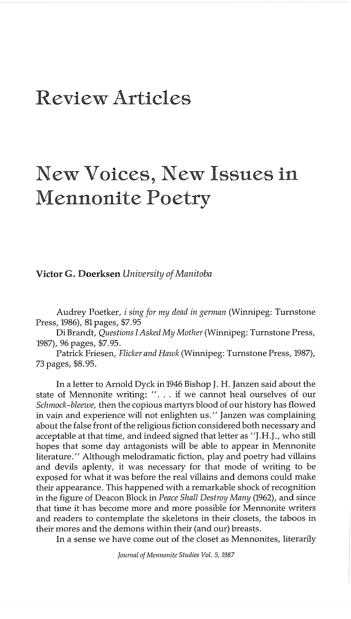## Review Articles

## New Voices, New Issues in Mennonite Poetry

## **Victor G. Doerksen** *University of Manitoba*

Audrey Poetker, *i sing for my dead in german* (Winnipeg: Turnstone Press, 1986), 81 pages, \$7.95

Di Brandt, *Questions I Asked My Mother* (Winnipeg: Turnstone Press, 1987), 96 pages, \$7.95.

Patrick Friesen, *Flicker and Hnzuk* (Winnipeg: Turnstone Press, 1987), 73 pages, \$8.95.

In a letter to Arnold Dyck in 1946 Bishop J. H. Janzen said about the state of Mennonite writing: ". . . if we cannot heal ourselves of our *Schmock-bleewe,* then the copious martyrs blood of our history has flowed in vain and experience will not enlighten us." Janzen was complaining about the false front of the religious fiction considered both necessary and acceptable at that time, and indeed signed that letter as "J.H.J., who still hopes that some day antagonists will be able to appear in Mennonite literature." Although melodramatic fiction, play and poetry had villains and devils aplenty, it was necessary for that mode of writing to be exposed for what it was before the real villains and demons could make their appearance. This happened with a remarkable shock of recognition in the figure of Deacon Block in *Peace Shall Destroy Many* (1962), and since that time it has become more and more possible for Mennonite writers and readers to contemplate the skeletons in their closets, the taboos in their mores and the demons within their (and our) breasts.

In a sense we have come out of the closet as Mennonites, literarily

Journal of Mennonite Studies Vol. 5, 1987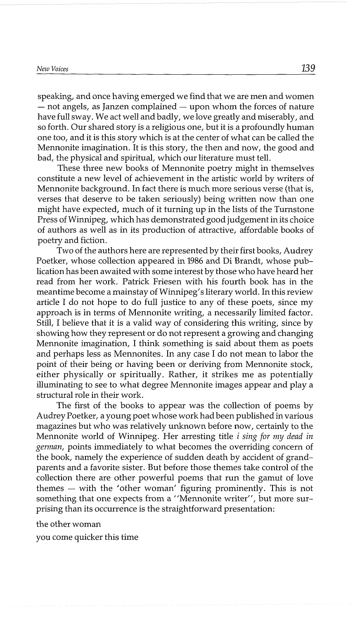## *~ezu Voices* 139

speaking, and once having emerged we find that we are men and women<br>- not angels, as Janzen complained — upon whom the forces of nature have full sway. We act well and badly, we love greatly and miserably, and so forth. Our shared story is a religious one, but it is a profoundly human one too, and it is this story which is at the center of what can be called the Mennonite imagination. It is this story, the then and now, the good and bad, the physical and spiritual, which our literature must tell.

These three new books of Mennonite poetry might in themselves constitute a new level of achievement in the artistic world by writers of Mennonite background. In fact there is much more serious verse (that is, verses that deserve to be taken seriously) being written now than one might have expected, much of it turning up in the lists of the Turnstone Press of Winnipeg, which has demonstrated good judgement in its choice of authors as well as in its production of attractive, affordable books of poetry and fiction.

Two of the authors here are represented by their first books, Audrey Poetker, whose collection appeared in 1986 and Di Brandt, whose publication has been awaited with some interest by those who have heard her read from her work. Patrick Friesen with his fourth book has in the meantime become a mainstay of Winnipeg's literary world. In this review article I do not hope to do full justice to any of these poets, since my approach is in terms of Mennonite writing, a necessarily limited factor. Still, I believe that it is a valid way of considering this writing, since by showing how they represent or do not represent a growing and changing Mennonite imagination, I think something is said about them as poets and perhaps less as Mennonites. In any case I do not mean to labor the point of their being or having been or deriving from Mennonite stock, either physically or spiritually. Rather, it strikes me as potentially illuminating to see to what degree Mennonite images appear and play a structural role in their work.

The first of the books to appear was the collection of poems by Audrey Poetker, a young poet whose work had been published in various magazines but who was relatively unknown before now, certainly to the Mennonite world of Winnipeg. Her arresting title **i** *sing* for. *iizy dead in*  german, points immediately to what becomes the overriding concern of the book, namely the experience of sudden death by accident of grandparents and a favorite sister. But before those themes take control of the collection there are other powerful poems that run the gamut of love themes — with the 'other woman' figuring prominently. This is not something that one expects from a "Mennonite writer", but more surprising than its occurrence is the straightforward presentation:

the other woman

you come quicker this time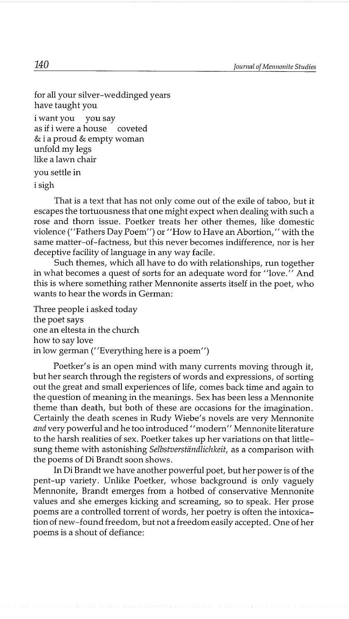```
for all your silver-weddinged years 
have taught you 
i want you you say 
as if i were a house coveted 
& i a proud & empty woman 
unfold my legs 
like a lawn chair 
you settle in 
i sigh
```
That is a text that has not only come out of the exile of taboo, but it escapes the tortuousness that one might expect when dealing with such a rose and thorn issue. Poetker treats her other themes, like domestic violence ("Fathers Day Poem") or "How to Have an Abortion," with the same matter-of-factness, but this never becomes indifference, nor is her deceptive facility of language in any way facile.

Such themes, which all have to do with relationships, run together in what becomes a quest of sorts for an adequate word for "love." And this is where something rather Mennonite asserts itself in the poet, who wants to hear the words in German:

Three people i asked today the poet says one an eltesta in the church how to say love in low german ("Everything here is a poem")

Poetker's is an open mind with many currents moving through it, but her search through the registers of words and expressions, of sorting out the great and small experiences of life, comes back time and again to the question of meaning in the meanings. Sex has been less a Mennonite theme than death, but both of these are occasions for the imagination. Certainly the death scenes in Rudy Wiebe's novels are very Mennonite *and* very powerful and he too introduced "modern" Mennonite literature to the harsh realities of sex. Poetker takes up her variations on that littlesung theme with astonishing *Selbstverständlichkeit*, as a comparison with the poems of Di Brandt soon shows.

In Di Brandt we have another powerful poet, but her power is of the pent-up variety. Unlike Poetker, whose background is only vaguely Mennonite, Brandt emerges from a hotbed of conservative Mennonite values and she emerges kicking and screaming, so to speak. Her prose poems are a controlled torrent of words, her poetry is often the intoxication of new-found freedom, but not a freedom easily accepted. One of her poems is a shout of defiance:

 $140$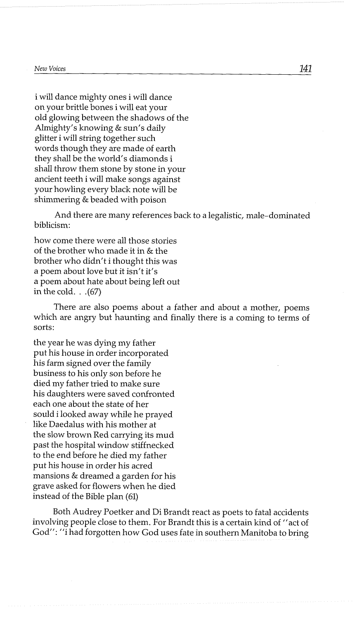i will dance mighty ones i will dance on your brittle bones i will eat your old glowing between the shadows of the Almighty's knowing & sun's daily glitter i will string together such words though they are made of earth they shall be the world's diamonds i shall throw them stone by stone in your ancient teeth i will make songs against your howling every black note will be shimmering & beaded with poison

And there are many references back to a legalistic, male-dominated biblicism:

how come there were all those stories of the brother who made it in & the brother who didn't i thought this was a poem about love but it isn't it's a poem about hate about being left out in the cold.  $(67)$ 

There are also poems about a father and about a mother, poems which are angry but haunting and finally there is a coming to terms of sorts:

the year he was dying my father put his house in order incorporated his farm signed over the family business to his only son before he died my father tried to make sure his daughters were saved confronted each one about the state of her sould i looked away while he prayed like Daedalus with his mother at the slow brown Red carrying its mud past the hospital window stiffnecked to the end before he died my father put his house in order his acred mansions & dreamed a garden for his grave asked for flowers when he died instead of the Bible plan (61)

Both Audrey Poetker and Di Brandt react as poets to fatal accidents involving people close to them. For Brandt this is a certain kind of "act of God": "i had forgotten how God uses fate in southern Manitoba to bring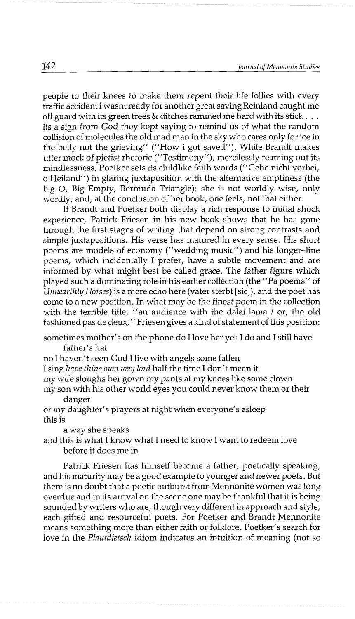people to their knees to make them repent their life follies with every traffic accident i wasnt ready for another great saving Reinland caught me off guard with its green trees & ditches rammed me hard with its stick . . . its a sign from God they kept saying to remind us of what the random collision of molecules the old mad man in the sky who cares only for ice in the belly not the grieving" ("How i got saved"). While Brandt makes utter mock of pietist rhetoric ("Testimony"), mercilessly reaming out its mindlessness, Poetker sets its childlike faith words ("Gehe nicht vorbei, o Heiland") in glaring juxtaposition with the alternative emptiness (the big 0, Big Empty, Bermuda Triangle); she is not worldly-wise, only wordly, and, at the conclusion of her book, one feels, not that either.

If Brandt and Poetker both display a rich response to initial shock experience, Patrick Friesen in his new book shows that he has gone through the first stages of writing that depend on strong contrasts and simple juxtapositions. His verse has matured in every sense. His short poems are models of economy ("wedding music") and his longer-line poems, which incidentally I prefer, have a subtle movement and are informed by what might best be called grace. The father figure which played such a dominating role in his earlier collection (the "Pa poems" of Unnearthly Horses) is a mere echo here (vater sterbt [sic]), and the poet has come to a new position. In what may be the finest poem in the collection with the terrible title, "an audience with the dalai lama  $\ell$  or, the old fashioned pas de dew," Friesen gives a kind of statement of this position:

sometimes mother's on the phone do I love her yes I do and I still have father's hat

no I haven't seen God I live with angels some fallen

I sing have thine own way lord half the time I don't mean it

my wife sloughs her gown my pants at my knees like some clown

my son with his other world eyes you could never know them or their danger

or my daughter's prayers at night when everyone's asleep this is

a way she speaks

and this is what I know what I need to know I want to redeem love before it does me in

Patrick Friesen has himself become a father, poetically speaking, and his maturity may be a good example to younger and newer poets. But there is no doubt that a poetic outburst from Mennonite women was long overdue and in its arrival on the scene one may be thankful that it is being sounded by writers who are, though very different in approach and style, each gifted and resourceful poets. For Poetker and Brandt Mennonite means something more than either faith or folklore. Poetker's search for love in the Plautdietsch idiom indicates an intuition of meaning (not so